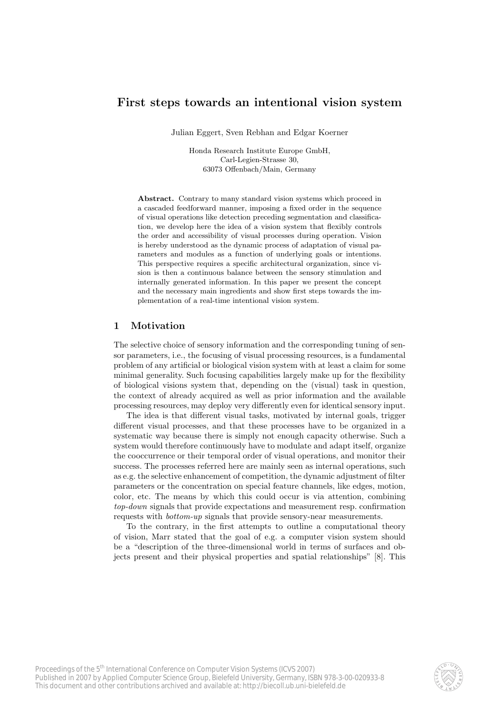# First steps towards an intentional vision system

Julian Eggert, Sven Rebhan and Edgar Koerner

Honda Research Institute Europe GmbH, Carl-Legien-Strasse 30, 63073 Offenbach/Main, Germany

Abstract. Contrary to many standard vision systems which proceed in a cascaded feedforward manner, imposing a fixed order in the sequence of visual operations like detection preceding segmentation and classification, we develop here the idea of a vision system that flexibly controls the order and accessibility of visual processes during operation. Vision is hereby understood as the dynamic process of adaptation of visual parameters and modules as a function of underlying goals or intentions. This perspective requires a specific architectural organization, since vision is then a continuous balance between the sensory stimulation and internally generated information. In this paper we present the concept and the necessary main ingredients and show first steps towards the implementation of a real-time intentional vision system.

# 1 Motivation

The selective choice of sensory information and the corresponding tuning of sensor parameters, i.e., the focusing of visual processing resources, is a fundamental problem of any artificial or biological vision system with at least a claim for some minimal generality. Such focusing capabilities largely make up for the flexibility of biological visions system that, depending on the (visual) task in question, the context of already acquired as well as prior information and the available processing resources, may deploy very differently even for identical sensory input.

The idea is that different visual tasks, motivated by internal goals, trigger different visual processes, and that these processes have to be organized in a systematic way because there is simply not enough capacity otherwise. Such a system would therefore continuously have to modulate and adapt itself, organize the cooccurrence or their temporal order of visual operations, and monitor their success. The processes referred here are mainly seen as internal operations, such as e.g. the selective enhancement of competition, the dynamic adjustment of filter parameters or the concentration on special feature channels, like edges, motion, color, etc. The means by which this could occur is via attention, combining top-down signals that provide expectations and measurement resp. confirmation requests with bottom-up signals that provide sensory-near measurements.

To the contrary, in the first attempts to outline a computational theory of vision, Marr stated that the goal of e.g. a computer vision system should be a "description of the three-dimensional world in terms of surfaces and objects present and their physical properties and spatial relationships" [8]. This

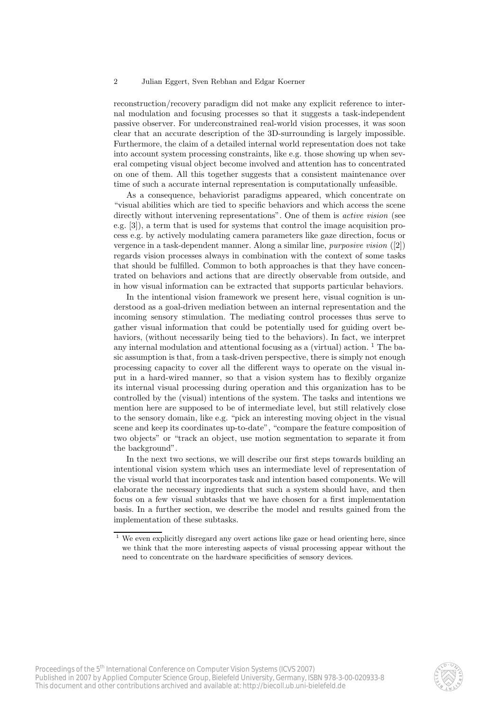reconstruction/recovery paradigm did not make any explicit reference to internal modulation and focusing processes so that it suggests a task-independent passive observer. For underconstrained real-world vision processes, it was soon clear that an accurate description of the 3D-surrounding is largely impossible. Furthermore, the claim of a detailed internal world representation does not take into account system processing constraints, like e.g. those showing up when several competing visual object become involved and attention has to concentrated on one of them. All this together suggests that a consistent maintenance over time of such a accurate internal representation is computationally unfeasible.

As a consequence, behaviorist paradigms appeared, which concentrate on "visual abilities which are tied to specific behaviors and which access the scene directly without intervening representations". One of them is *active vision* (see e.g. [3]), a term that is used for systems that control the image acquisition process e.g. by actively modulating camera parameters like gaze direction, focus or vergence in a task-dependent manner. Along a similar line, purposive vision ([2]) regards vision processes always in combination with the context of some tasks that should be fulfilled. Common to both approaches is that they have concentrated on behaviors and actions that are directly observable from outside, and in how visual information can be extracted that supports particular behaviors.

In the intentional vision framework we present here, visual cognition is understood as a goal-driven mediation between an internal representation and the incoming sensory stimulation. The mediating control processes thus serve to gather visual information that could be potentially used for guiding overt behaviors, (without necessarily being tied to the behaviors). In fact, we interpret any internal modulation and attentional focusing as a (virtual) action.  $^1$  The basic assumption is that, from a task-driven perspective, there is simply not enough processing capacity to cover all the different ways to operate on the visual input in a hard-wired manner, so that a vision system has to flexibly organize its internal visual processing during operation and this organization has to be controlled by the (visual) intentions of the system. The tasks and intentions we mention here are supposed to be of intermediate level, but still relatively close to the sensory domain, like e.g. "pick an interesting moving object in the visual scene and keep its coordinates up-to-date", "compare the feature composition of two objects" or "track an object, use motion segmentation to separate it from the background".

In the next two sections, we will describe our first steps towards building an intentional vision system which uses an intermediate level of representation of the visual world that incorporates task and intention based components. We will elaborate the necessary ingredients that such a system should have, and then focus on a few visual subtasks that we have chosen for a first implementation basis. In a further section, we describe the model and results gained from the implementation of these subtasks.



 $^{\rm 1}$  We even explicitly disregard any overt actions like gaze or head orienting here, since we think that the more interesting aspects of visual processing appear without the need to concentrate on the hardware specificities of sensory devices.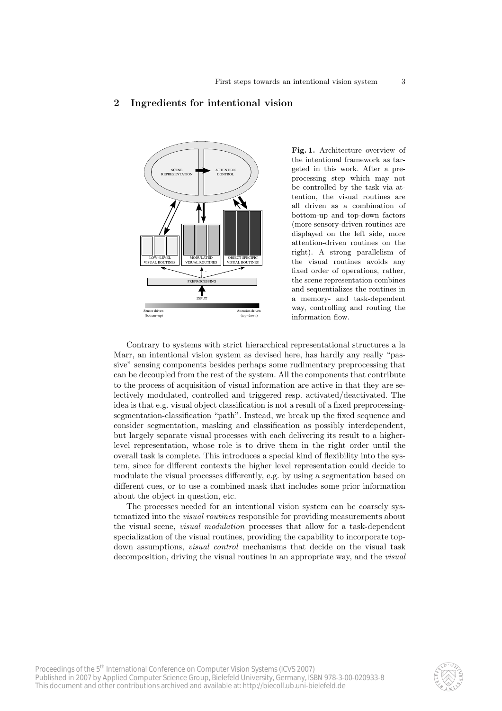# **ATTENTION SCENE** SUEINE<br>REPRESENTATION CONTROL LOW−LEVEL VISUAL ROUTINES MODULATED VISUAL ROUTINES OBJECT SPECIFIC VISUAL ROUTINES **PREPROCESSING** ₳ INPUT or drive Attention driven (bottom−up) (top−down)

Fig. 1. Architecture overview of the intentional framework as targeted in this work. After a preprocessing step which may not be controlled by the task via attention, the visual routines are all driven as a combination of bottom-up and top-down factors (more sensory-driven routines are displayed on the left side, more attention-driven routines on the right). A strong parallelism of the visual routines avoids any fixed order of operations, rather, the scene representation combines and sequentializes the routines in a memory- and task-dependent way, controlling and routing the information flow.

Contrary to systems with strict hierarchical representational structures a la Marr, an intentional vision system as devised here, has hardly any really "passive" sensing components besides perhaps some rudimentary preprocessing that can be decoupled from the rest of the system. All the components that contribute to the process of acquisition of visual information are active in that they are selectively modulated, controlled and triggered resp. activated/deactivated. The idea is that e.g. visual object classification is not a result of a fixed preprocessingsegmentation-classification "path". Instead, we break up the fixed sequence and consider segmentation, masking and classification as possibly interdependent, but largely separate visual processes with each delivering its result to a higherlevel representation, whose role is to drive them in the right order until the overall task is complete. This introduces a special kind of flexibility into the system, since for different contexts the higher level representation could decide to modulate the visual processes differently, e.g. by using a segmentation based on different cues, or to use a combined mask that includes some prior information about the object in question, etc.

The processes needed for an intentional vision system can be coarsely systematized into the visual routines responsible for providing measurements about the visual scene, visual modulation processes that allow for a task-dependent specialization of the visual routines, providing the capability to incorporate topdown assumptions, *visual control* mechanisms that decide on the visual task decomposition, driving the visual routines in an appropriate way, and the *visual* 

# 2 Ingredients for intentional vision

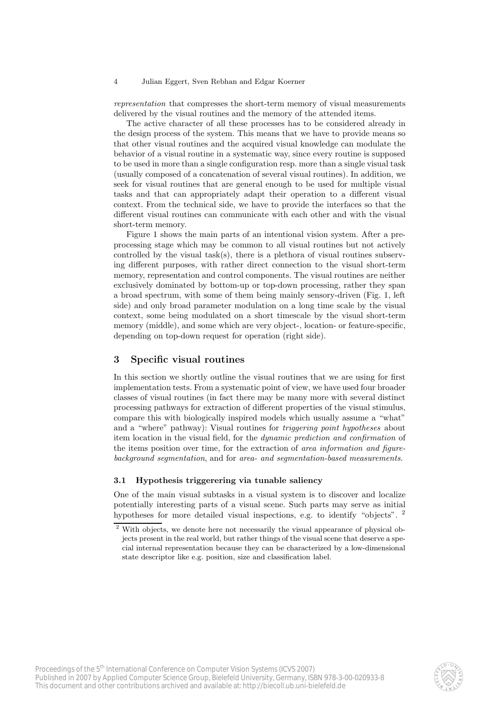representation that compresses the short-term memory of visual measurements delivered by the visual routines and the memory of the attended items.

The active character of all these processes has to be considered already in the design process of the system. This means that we have to provide means so that other visual routines and the acquired visual knowledge can modulate the behavior of a visual routine in a systematic way, since every routine is supposed to be used in more than a single configuration resp. more than a single visual task (usually composed of a concatenation of several visual routines). In addition, we seek for visual routines that are general enough to be used for multiple visual tasks and that can appropriately adapt their operation to a different visual context. From the technical side, we have to provide the interfaces so that the different visual routines can communicate with each other and with the visual short-term memory.

Figure 1 shows the main parts of an intentional vision system. After a preprocessing stage which may be common to all visual routines but not actively controlled by the visual task(s), there is a plethora of visual routines subserving different purposes, with rather direct connection to the visual short-term memory, representation and control components. The visual routines are neither exclusively dominated by bottom-up or top-down processing, rather they span a broad spectrum, with some of them being mainly sensory-driven (Fig. 1, left side) and only broad parameter modulation on a long time scale by the visual context, some being modulated on a short timescale by the visual short-term memory (middle), and some which are very object-, location- or feature-specific, depending on top-down request for operation (right side).

### 3 Specific visual routines

In this section we shortly outline the visual routines that we are using for first implementation tests. From a systematic point of view, we have used four broader classes of visual routines (in fact there may be many more with several distinct processing pathways for extraction of different properties of the visual stimulus, compare this with biologically inspired models which usually assume a "what" and a "where" pathway): Visual routines for triggering point hypotheses about item location in the visual field, for the dynamic prediction and confirmation of the items position over time, for the extraction of *area information and figure*background segmentation, and for area- and segmentation-based measurements.

#### 3.1 Hypothesis triggerering via tunable saliency

One of the main visual subtasks in a visual system is to discover and localize potentially interesting parts of a visual scene. Such parts may serve as initial hypotheses for more detailed visual inspections, e.g. to identify "objects". <sup>2</sup>



<sup>2</sup> With objects, we denote here not necessarily the visual appearance of physical objects present in the real world, but rather things of the visual scene that deserve a special internal representation because they can be characterized by a low-dimensional state descriptor like e.g. position, size and classification label.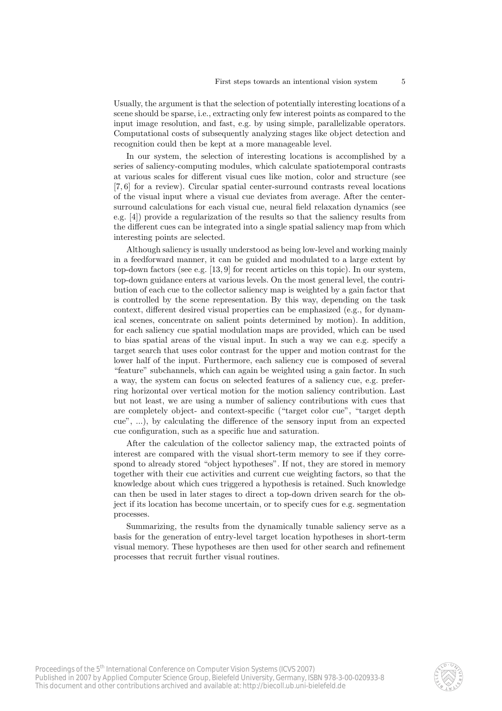Usually, the argument is that the selection of potentially interesting locations of a scene should be sparse, i.e., extracting only few interest points as compared to the input image resolution, and fast, e.g. by using simple, parallelizable operators. Computational costs of subsequently analyzing stages like object detection and recognition could then be kept at a more manageable level.

In our system, the selection of interesting locations is accomplished by a series of saliency-computing modules, which calculate spatiotemporal contrasts at various scales for different visual cues like motion, color and structure (see [7, 6] for a review). Circular spatial center-surround contrasts reveal locations of the visual input where a visual cue deviates from average. After the centersurround calculations for each visual cue, neural field relaxation dynamics (see e.g. [4]) provide a regularization of the results so that the saliency results from the different cues can be integrated into a single spatial saliency map from which interesting points are selected.

Although saliency is usually understood as being low-level and working mainly in a feedforward manner, it can be guided and modulated to a large extent by top-down factors (see e.g. [13, 9] for recent articles on this topic). In our system, top-down guidance enters at various levels. On the most general level, the contribution of each cue to the collector saliency map is weighted by a gain factor that is controlled by the scene representation. By this way, depending on the task context, different desired visual properties can be emphasized (e.g., for dynamical scenes, concentrate on salient points determined by motion). In addition, for each saliency cue spatial modulation maps are provided, which can be used to bias spatial areas of the visual input. In such a way we can e.g. specify a target search that uses color contrast for the upper and motion contrast for the lower half of the input. Furthermore, each saliency cue is composed of several "feature" subchannels, which can again be weighted using a gain factor. In such a way, the system can focus on selected features of a saliency cue, e.g. preferring horizontal over vertical motion for the motion saliency contribution. Last but not least, we are using a number of saliency contributions with cues that are completely object- and context-specific ("target color cue", "target depth cue", ...), by calculating the difference of the sensory input from an expected cue configuration, such as a specific hue and saturation.

After the calculation of the collector saliency map, the extracted points of interest are compared with the visual short-term memory to see if they correspond to already stored "object hypotheses". If not, they are stored in memory together with their cue activities and current cue weighting factors, so that the knowledge about which cues triggered a hypothesis is retained. Such knowledge can then be used in later stages to direct a top-down driven search for the object if its location has become uncertain, or to specify cues for e.g. segmentation processes.

Summarizing, the results from the dynamically tunable saliency serve as a basis for the generation of entry-level target location hypotheses in short-term visual memory. These hypotheses are then used for other search and refinement processes that recruit further visual routines.

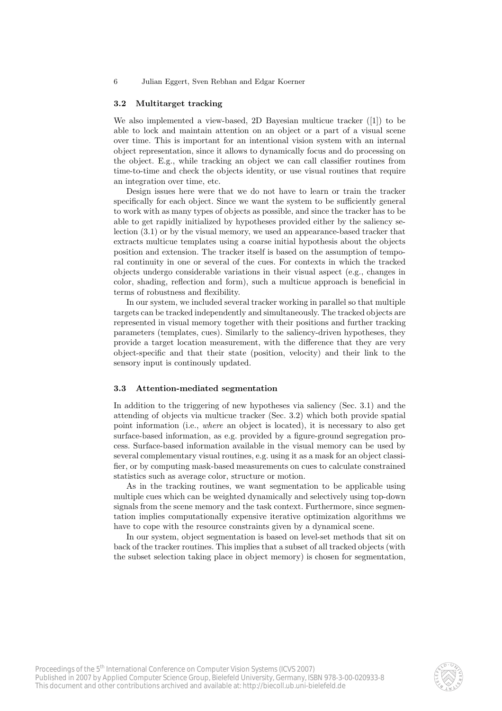#### 3.2 Multitarget tracking

We also implemented a view-based, 2D Bayesian multicue tracker ([1]) to be able to lock and maintain attention on an object or a part of a visual scene over time. This is important for an intentional vision system with an internal object representation, since it allows to dynamically focus and do processing on the object. E.g., while tracking an object we can call classifier routines from time-to-time and check the objects identity, or use visual routines that require an integration over time, etc.

Design issues here were that we do not have to learn or train the tracker specifically for each object. Since we want the system to be sufficiently general to work with as many types of objects as possible, and since the tracker has to be able to get rapidly initialized by hypotheses provided either by the saliency selection (3.1) or by the visual memory, we used an appearance-based tracker that extracts multicue templates using a coarse initial hypothesis about the objects position and extension. The tracker itself is based on the assumption of temporal continuity in one or several of the cues. For contexts in which the tracked objects undergo considerable variations in their visual aspect (e.g., changes in color, shading, reflection and form), such a multicue approach is beneficial in terms of robustness and flexibility.

In our system, we included several tracker working in parallel so that multiple targets can be tracked independently and simultaneously. The tracked objects are represented in visual memory together with their positions and further tracking parameters (templates, cues). Similarly to the saliency-driven hypotheses, they provide a target location measurement, with the difference that they are very object-specific and that their state (position, velocity) and their link to the sensory input is continously updated.

#### 3.3 Attention-mediated segmentation

In addition to the triggering of new hypotheses via saliency (Sec. 3.1) and the attending of objects via multicue tracker (Sec. 3.2) which both provide spatial point information (i.e., where an object is located), it is necessary to also get surface-based information, as e.g. provided by a figure-ground segregation process. Surface-based information available in the visual memory can be used by several complementary visual routines, e.g. using it as a mask for an object classifier, or by computing mask-based measurements on cues to calculate constrained statistics such as average color, structure or motion.

As in the tracking routines, we want segmentation to be applicable using multiple cues which can be weighted dynamically and selectively using top-down signals from the scene memory and the task context. Furthermore, since segmentation implies computationally expensive iterative optimization algorithms we have to cope with the resource constraints given by a dynamical scene.

In our system, object segmentation is based on level-set methods that sit on back of the tracker routines. This implies that a subset of all tracked objects (with the subset selection taking place in object memory) is chosen for segmentation,

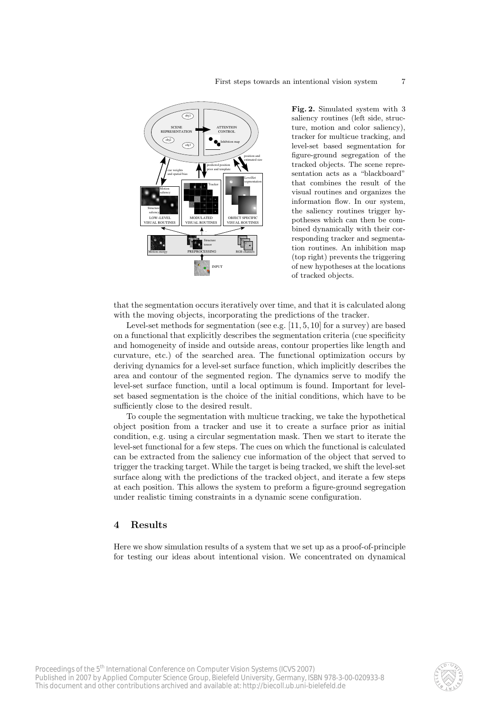

Fig. 2. Simulated system with 3 saliency routines (left side, structure, motion and color saliency), tracker for multicue tracking, and level-set based segmentation for figure-ground segregation of the tracked objects. The scene representation acts as a "blackboard" that combines the result of the visual routines and organizes the information flow. In our system, the saliency routines trigger hypotheses which can then be combined dynamically with their corresponding tracker and segmentation routines. An inhibition map (top right) prevents the triggering of new hypotheses at the locations of tracked objects.

that the segmentation occurs iteratively over time, and that it is calculated along with the moving objects, incorporating the predictions of the tracker.

Level-set methods for segmentation (see e.g. [11, 5, 10] for a survey) are based on a functional that explicitly describes the segmentation criteria (cue specificity and homogeneity of inside and outside areas, contour properties like length and curvature, etc.) of the searched area. The functional optimization occurs by deriving dynamics for a level-set surface function, which implicitly describes the area and contour of the segmented region. The dynamics serve to modify the level-set surface function, until a local optimum is found. Important for levelset based segmentation is the choice of the initial conditions, which have to be sufficiently close to the desired result.

To couple the segmentation with multicue tracking, we take the hypothetical object position from a tracker and use it to create a surface prior as initial condition, e.g. using a circular segmentation mask. Then we start to iterate the level-set functional for a few steps. The cues on which the functional is calculated can be extracted from the saliency cue information of the object that served to trigger the tracking target. While the target is being tracked, we shift the level-set surface along with the predictions of the tracked object, and iterate a few steps at each position. This allows the system to preform a figure-ground segregation under realistic timing constraints in a dynamic scene configuration.

# 4 Results

Here we show simulation results of a system that we set up as a proof-of-principle for testing our ideas about intentional vision. We concentrated on dynamical

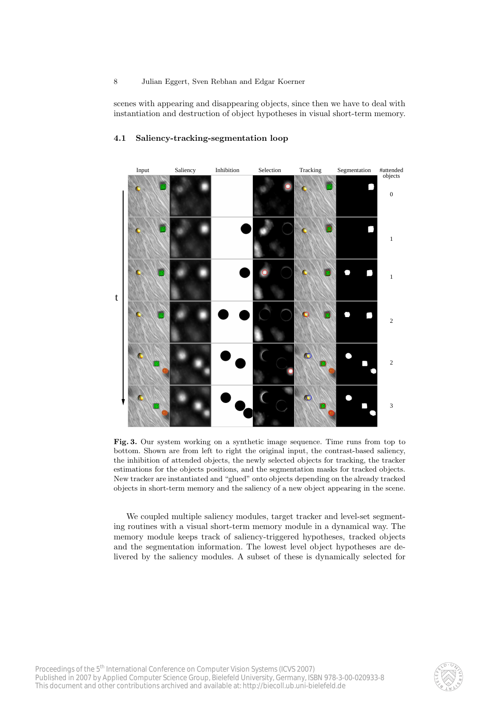scenes with appearing and disappearing objects, since then we have to deal with instantiation and destruction of object hypotheses in visual short-term memory.



# 4.1 Saliency-tracking-segmentation loop

Fig. 3. Our system working on a synthetic image sequence. Time runs from top to bottom. Shown are from left to right the original input, the contrast-based saliency, the inhibition of attended objects, the newly selected objects for tracking, the tracker estimations for the objects positions, and the segmentation masks for tracked objects. New tracker are instantiated and "glued" onto objects depending on the already tracked objects in short-term memory and the saliency of a new object appearing in the scene.

We coupled multiple saliency modules, target tracker and level-set segmenting routines with a visual short-term memory module in a dynamical way. The memory module keeps track of saliency-triggered hypotheses, tracked objects and the segmentation information. The lowest level object hypotheses are delivered by the saliency modules. A subset of these is dynamically selected for

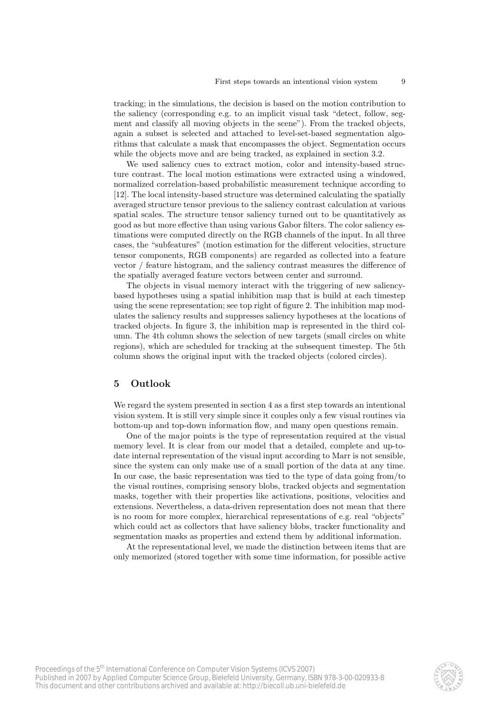tracking; in the simulations, the decision is based on the motion contribution to the saliency (corresponding e.g. to an implicit visual task "detect, follow, segment and classify all moving objects in the scene"). From the tracked objects, again a subset is selected and attached to level-set-based segmentation algorithms that calculate a mask that encompasses the object. Segmentation occurs while the objects move and are being tracked, as explained in section 3.2.

We used saliency cues to extract motion, color and intensity-based structure contrast. The local motion estimations were extracted using a windowed, normalized correlation-based probabilistic measurement technique according to [12]. The local intensity-based structure was determined calculating the spatially averaged structure tensor previous to the saliency contrast calculation at various spatial scales. The structure tensor saliency turned out to be quantitatively as good as but more effective than using various Gabor filters. The color saliency estimations were computed directly on the RGB channels of the input. In all three cases, the "subfeatures" (motion estimation for the different velocities, structure tensor components, RGB components) are regarded as collected into a feature vector / feature histogram, and the saliency contrast measures the difference of the spatially averaged feature vectors between center and surround.

The objects in visual memory interact with the triggering of new saliencybased hypotheses using a spatial inhibition map that is build at each timestep using the scene representation; see top right of figure 2. The inhibition map modulates the saliency results and suppresses saliency hypotheses at the locations of tracked objects. In figure 3, the inhibition map is represented in the third column. The 4th column shows the selection of new targets (small circles on white regions), which are scheduled for tracking at the subsequent timestep. The 5th column shows the original input with the tracked objects (colored circles).

# 5 Outlook

We regard the system presented in section 4 as a first step towards an intentional vision system. It is still very simple since it couples only a few visual routines via bottom-up and top-down information flow, and many open questions remain.

One of the major points is the type of representation required at the visual memory level. It is clear from our model that a detailed, complete and up-todate internal representation of the visual input according to Marr is not sensible, since the system can only make use of a small portion of the data at any time. In our case, the basic representation was tied to the type of data going from/to the visual routines, comprising sensory blobs, tracked objects and segmentation masks, together with their properties like activations, positions, velocities and extensions. Nevertheless, a data-driven representation does not mean that there is no room for more complex, hierarchical representations of e.g. real "objects" which could act as collectors that have saliency blobs, tracker functionality and segmentation masks as properties and extend them by additional information.

At the representational level, we made the distinction between items that are only memorized (stored together with some time information, for possible active